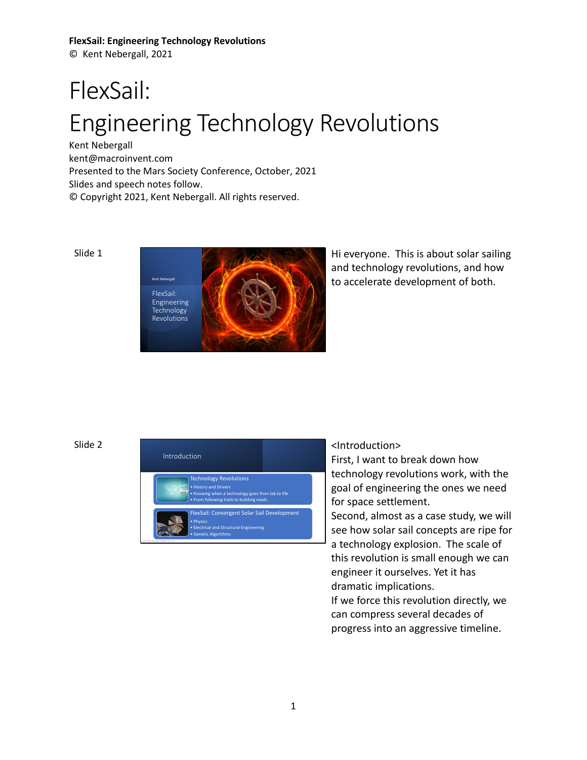© Kent Nebergall, 2021

# FlexSail: Engineering Technology Revolutions

Kent Nebergall [kent@macroinvent.com](mailto:kent@macroinvent.com) Presented to the Mars Society Conference, October, 2021 Slides and speech notes follow. © Copyright 2021, Kent Nebergall. All rights reserved.

Slide 1



Hi everyone. This is about solar sailing and technology revolutions, and how to accelerate development of both.

# Slide 2



# <Introduction>

First, I want to break down how technology revolutions work, with the goal of engineering the ones we need for space settlement.

Second, almost as a case study, we will see how solar sail concepts are ripe for a technology explosion. The scale of this revolution is small enough we can engineer it ourselves. Yet it has dramatic implications.

If we force this revolution directly, we can compress several decades of progress into an aggressive timeline.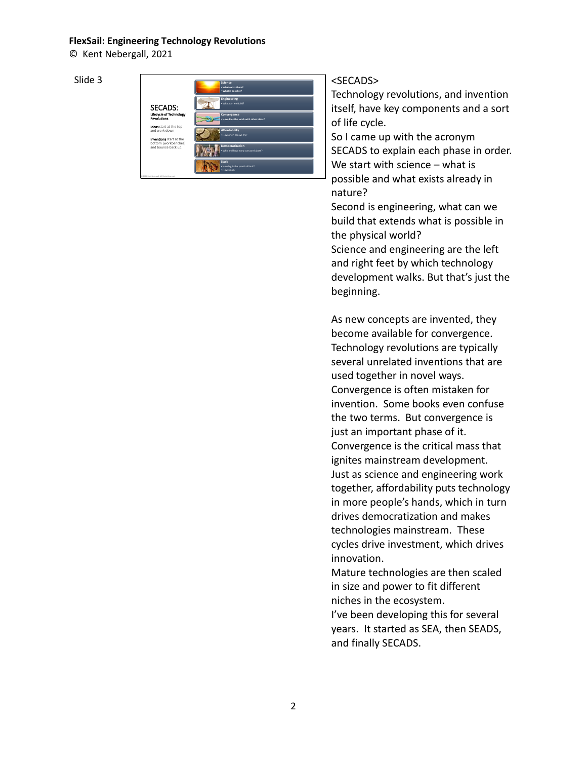© Kent Nebergall, 2021

Slide 3



# <SECADS>

Technology revolutions, and invention itself, have key components and a sort of life cycle.

So I came up with the acronym SECADS to explain each phase in order. We start with science – what is possible and what exists already in nature?

Second is engineering, what can we build that extends what is possible in the physical world?

Science and engineering are the left and right feet by which technology development walks. But that's just the beginning.

As new concepts are invented, they become available for convergence. Technology revolutions are typically several unrelated inventions that are used together in novel ways. Convergence is often mistaken for invention. Some books even confuse the two terms. But convergence is just an important phase of it. Convergence is the critical mass that ignites mainstream development. Just as science and engineering work together, affordability puts technology in more people's hands, which in turn drives democratization and makes technologies mainstream. These cycles drive investment, which drives innovation.

Mature technologies are then scaled in size and power to fit different niches in the ecosystem.

I've been developing this for several years. It started as SEA, then SEADS, and finally SECADS.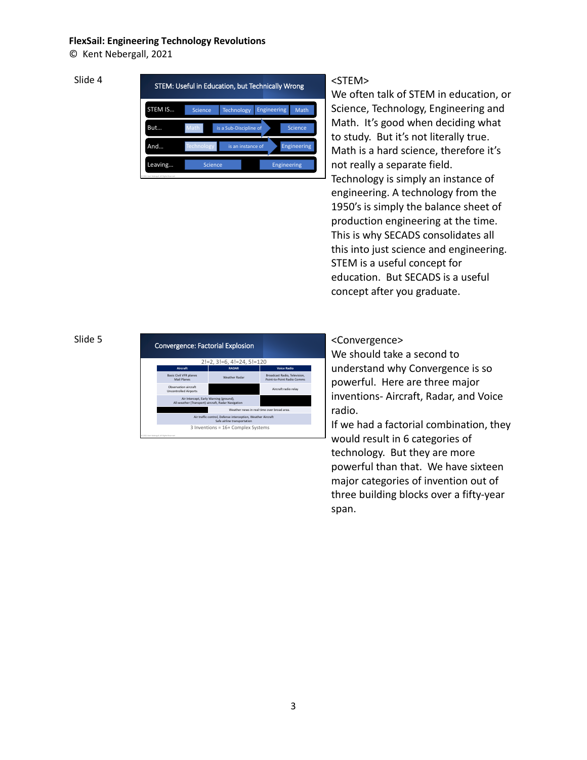© Kent Nebergall, 2021

# Slide 4

|         | STEM: Useful in Education, but Technically Wrong |                        |                    |                    |
|---------|--------------------------------------------------|------------------------|--------------------|--------------------|
| STEM IS | Science                                          | <b>Technology</b>      | <b>Engineering</b> | Math               |
| But     | Math                                             | is a Sub-Discipline of |                    | Science            |
| And     | <b>Technology</b>                                | is an instance of      |                    | Engineering        |
| Leaving | Science                                          |                        |                    | <b>Engineering</b> |

# <STEM>

We often talk of STEM in education, or Science, Technology, Engineering and Math. It's good when deciding what to study. But it's not literally true. Math is a hard science, therefore it's not really a separate field. Technology is simply an instance of engineering. A technology from the 1950's is simply the balance sheet of production engineering at the time. This is why SECADS consolidates all this into just science and engineering. STEM is a useful concept for education. But SECADS is a useful concept after you graduate.

# Slide 5

| <b>Convergence: Factorial Explosion</b>                                                      |                                                                                            |                                                            |
|----------------------------------------------------------------------------------------------|--------------------------------------------------------------------------------------------|------------------------------------------------------------|
|                                                                                              | $2!=2, 3!=6, 4!=24, 5!=120$                                                                |                                                            |
| Aircraft                                                                                     | <b>RADAR</b>                                                                               | <b>Voice Radio</b>                                         |
| <b>Basic Civil VFR planes</b><br>Mail Planes                                                 | <b>Weather Radar</b>                                                                       | Broadcast Radio, Television,<br>Point-to-Point Radio Comms |
| Observation aircraft<br><b>Uncontrolled Airports</b>                                         |                                                                                            | Aircraft radio relav                                       |
| Air Intercept, Early Warning (ground),<br>All-weather (Transport) aircraft, Radar Navigation |                                                                                            |                                                            |
|                                                                                              | Weather news in real time over broad area.                                                 |                                                            |
|                                                                                              | Air traffic control, Defense interception, Weather Aircraft<br>Safe airline transportation |                                                            |
| D 2021 Kent Nebergall, All Rights Reprived                                                   | 3 Inventions = 16+ Complex Systems                                                         |                                                            |

# <Convergence>

We should take a second to understand why Convergence is so powerful. Here are three major inventions- Aircraft, Radar, and Voice radio.

If we had a factorial combination, they would result in 6 categories of technology. But they are more powerful than that. We have sixteen major categories of invention out of three building blocks over a fifty-year span.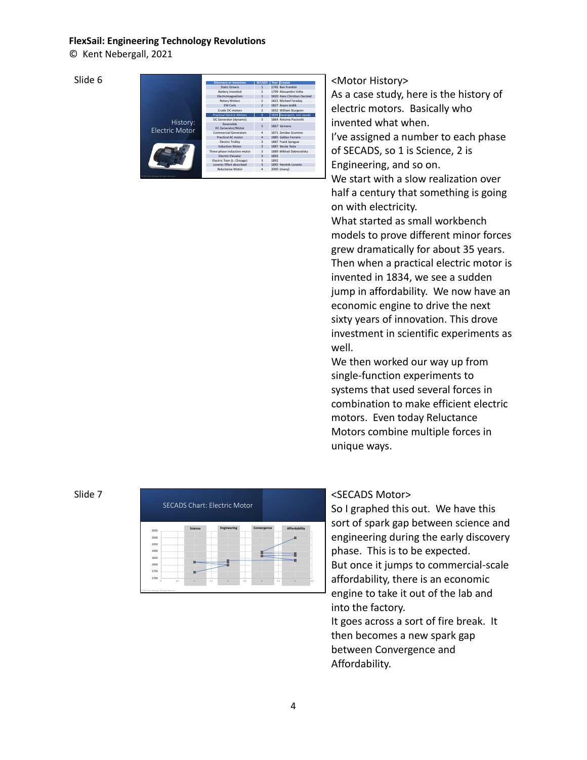© Kent Nebergall, 2021

Slide 6

|                                   | <b>Discovery or Invention</b>    | <b>SECADS</b>            |      | Year Creator                |
|-----------------------------------|----------------------------------|--------------------------|------|-----------------------------|
|                                   | <b>Static Drivers</b>            | $\mathbf{1}$             |      | 1745 Ren Franklin           |
|                                   | <b>Battery Invented</b>          | $\overline{ }$           |      | 1799 Alessandro Volta       |
|                                   | Electromagnetism                 | $\mathbf{1}$             |      | 1820 Hans Christian Oersted |
|                                   | Rotary Motion                    | $\overline{\phantom{a}}$ |      | 1821 Michael Faradav        |
|                                   | <b>FM Coils</b>                  | $\overline{z}$           |      | 1827 Anyos Jedlik           |
|                                   | Crude DC motors                  | $\overline{ }$           |      | 1832 William Sturgeon       |
|                                   | <b>Practical Electric Motors</b> | $\overline{a}$           |      | 1834 Davenport, von Jacobi  |
|                                   | DC Generator (dynamo)            | $\overline{\mathbf{a}}$  |      | 1864 Antoino Pacinotti      |
| History:<br><b>Flectric Motor</b> | Reversible<br>DC Generator/Motor | $\overline{a}$           |      | 1867 Siemens                |
|                                   | <b>Commercial Generators</b>     | $\Delta$                 |      | 1871 Zenobe Gramme          |
|                                   | Practical AC motor               | $\overline{4}$           |      | 1885 Galileo Farraris       |
|                                   | <b>Electric Trolley</b>          | $\overline{\mathbf{a}}$  |      | 1887 Frank Sprague          |
|                                   | <b>Induction Motor</b>           | $\overline{a}$           |      | 1887 Nicola Tesla           |
|                                   | Three-phase induction motor      | $\overline{3}$           |      | 1889 Mikhail Debrovolsky    |
|                                   | <b>Flectric Flevator</b>         | $\overline{a}$           | 1892 |                             |
|                                   | Electric Train (L- Chicago)      | $\overline{\mathbf{a}}$  | 1892 |                             |
|                                   | Lorentz Effect described         | $\overline{a}$           |      | 1895 Hendrik Lorentz        |
|                                   | <b>Reluctance Motor</b>          | $\Delta$                 |      | 2000 (many)                 |

# <Motor History>

As a case study, here is the history of electric motors. Basically who invented what when.

I've assigned a number to each phase of SECADS, so 1 is Science, 2 is Engineering, and so on.

We start with a slow realization over half a century that something is going on with electricity.

What started as small workbench models to prove different minor forces grew dramatically for about 35 years. Then when a practical electric motor is invented in 1834, we see a sudden jump in affordability. We now have an economic engine to drive the next sixty years of innovation. This drove investment in scientific experiments as well.

We then worked our way up from single-function experiments to systems that used several forces in combination to make efficient electric motors. Even today Reluctance Motors combine multiple forces in unique ways.

# Slide 7



# <SECADS Motor>

So I graphed this out. We have this sort of spark gap between science and engineering during the early discovery phase. This is to be expected. But once it jumps to commercial-scale affordability, there is an economic engine to take it out of the lab and into the factory.

It goes across a sort of fire break. It then becomes a new spark gap between Convergence and Affordability.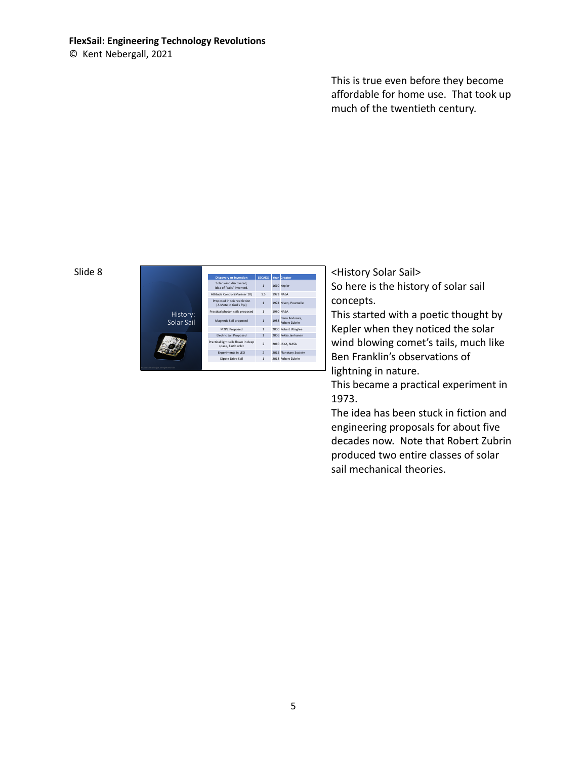© Kent Nebergall, 2021

This is true even before they become affordable for home use. That took up much of the twentieth century.

## Slide 8

|                                          | <b>Discovery or Invention</b>                             | <b>SECADS</b>  |      | Year Creator                   |
|------------------------------------------|-----------------------------------------------------------|----------------|------|--------------------------------|
|                                          | Solar wind discovered,<br>idea of "sails" invented        | $\mathbf{1}$   |      | 1610 Kepler                    |
|                                          | Attitude Control (Mariner 10)                             | 1.5            |      | <b>1973 NASA</b>               |
|                                          | Proposed in science fiction<br>(A Mote in God's Eye)      | $\mathbf{1}$   |      | 1974 Niven, Pournelle          |
| History:                                 | Practical photon sails proposed                           | $\mathbf{1}$   |      | 1980 NASA                      |
| Solar Sail                               | Magnetic Sail proposed                                    | $\mathbf{1}$   | 1988 | Dana Andrews,<br>Robert Zubrin |
|                                          | M2P2 Proposed                                             | $\mathbf{1}$   |      | 2000 Robert Winglee            |
|                                          | <b>Electric Sail Proposed</b>                             | $\overline{1}$ |      | 2006 Pekka Janhunen            |
|                                          | Practical light sails flown in deep<br>space. Earth orbit | $\overline{2}$ |      | 2010 JAXA NASA                 |
|                                          | Experiments in LEO                                        | $\overline{2}$ |      | 2015 Planetary Society         |
|                                          | Dipole Drive Sail                                         | $\mathbf{1}$   |      | 2018 Robert Zubrin             |
| 121 Kent Nebergall, All Rights Reserved. |                                                           |                |      |                                |

<History Solar Sail> So here is the history of solar sail concepts.

This started with a poetic thought by Kepler when they noticed the solar wind blowing comet's tails, much like Ben Franklin's observations of lightning in nature.

This became a practical experiment in 1973.

The idea has been stuck in fiction and engineering proposals for about five decades now. Note that Robert Zubrin produced two entire classes of solar sail mechanical theories.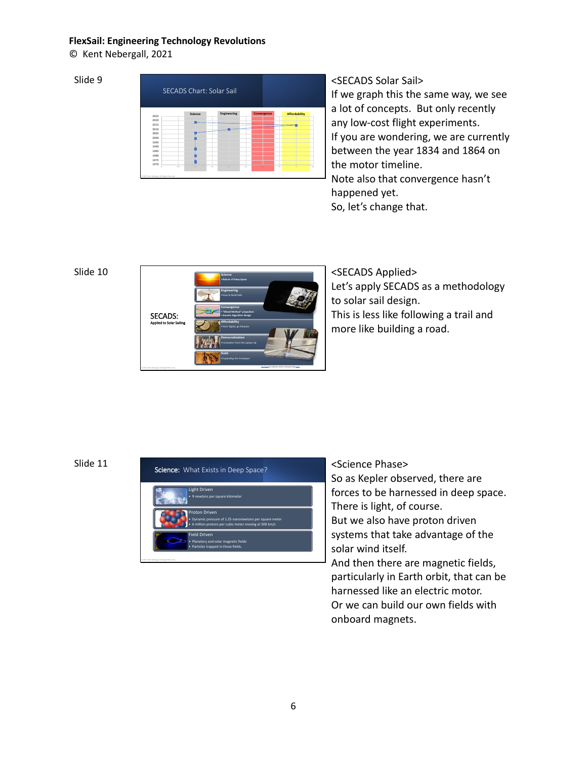© Kent Nebergall, 2021

# Slide 9

|      | <b>SECADS Chart: Solar Sail</b> |             |             |                      |
|------|---------------------------------|-------------|-------------|----------------------|
|      |                                 |             |             |                      |
| 2025 | Science                         | Engineering | Convergence | <b>Affordability</b> |
| 2020 |                                 |             |             |                      |
| 2015 |                                 |             |             |                      |
| 2010 |                                 |             |             |                      |
| 2005 |                                 |             |             |                      |
| 2000 |                                 |             |             |                      |
| 1995 |                                 |             |             |                      |
| 1990 |                                 |             |             |                      |
| 1985 |                                 |             |             |                      |
| 1980 |                                 |             |             |                      |
| 1975 |                                 |             |             |                      |
| 1970 |                                 |             |             |                      |

<SECADS Solar Sail> If we graph this the same way, we see a lot of concepts. But only recently any low-cost flight experiments. If you are wondering, we are currently between the year 1834 and 1864 on the motor timeline. Note also that convergence hasn't happened yet.

So, let's change that.

# Slide 10



<SECADS Applied> Let's apply SECADS as a methodology to solar sail design. This is less like following a trail and more like building a road.



# <Science Phase>

So as Kepler observed, there are forces to be harnessed in deep space. There is light, of course. But we also have proton driven systems that take advantage of the solar wind itself.

And then there are magnetic fields, particularly in Earth orbit, that can be harnessed like an electric motor. Or we can build our own fields with onboard magnets.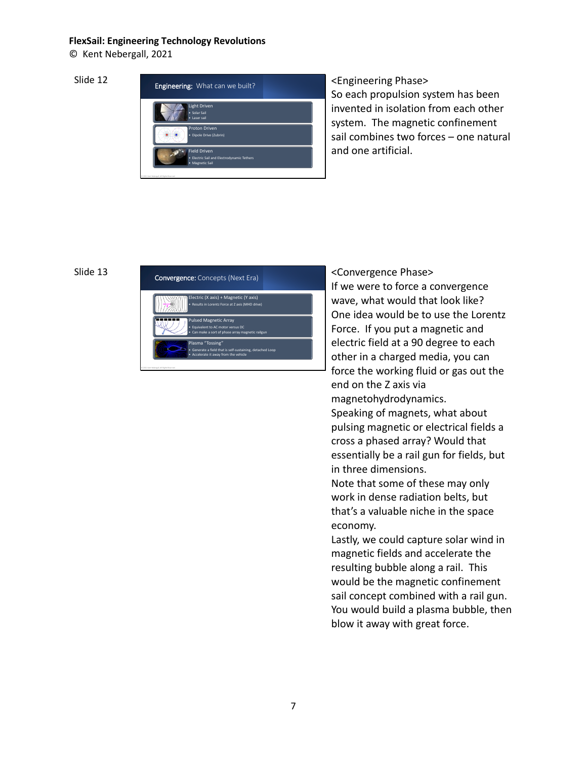© Kent Nebergall, 2021

Slide 12



<Engineering Phase> So each propulsion system has been invented in isolation from each other system. The magnetic confinement sail combines two forces – one natural and one artificial.

# Slide 13



<Convergence Phase> If we were to force a convergence wave, what would that look like? One idea would be to use the Lorentz Force. If you put a magnetic and electric field at a 90 degree to each other in a charged media, you can force the working fluid or gas out the end on the Z axis via magnetohydrodynamics. Speaking of magnets, what about pulsing magnetic or electrical fields a cross a phased array? Would that essentially be a rail gun for fields, but in three dimensions. Note that some of these may only work in dense radiation belts, but that's a valuable niche in the space economy. Lastly, we could capture solar wind in

magnetic fields and accelerate the resulting bubble along a rail. This would be the magnetic confinement sail concept combined with a rail gun. You would build a plasma bubble, then blow it away with great force.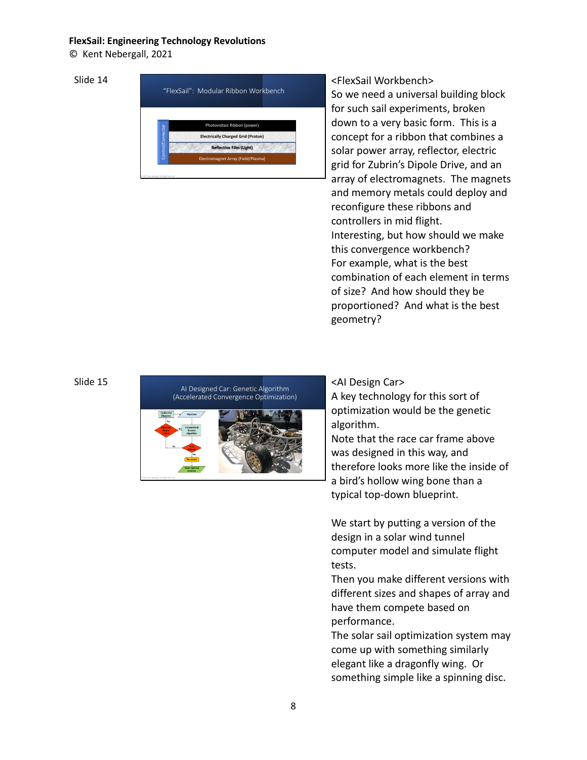© Kent Nebergall, 2021

Slide 14



<FlexSail Workbench> So we need a universal building block for such sail experiments, broken down to a very basic form. This is a concept for a ribbon that combines a solar power array, reflector, electric grid for Zubrin's Dipole Drive, and an array of electromagnets. The magnets and memory metals could deploy and reconfigure these ribbons and controllers in mid flight. Interesting, but how should we make this convergence workbench? For example, what is the best combination of each element in terms of size? And how should they be proportioned? And what is the best geometry?

# Slide 15



<AI Design Car>

A key technology for this sort of optimization would be the genetic algorithm.

Note that the race car frame above was designed in this way, and therefore looks more like the inside of a bird's hollow wing bone than a typical top-down blueprint.

We start by putting a version of the design in a solar wind tunnel computer model and simulate flight tests.

Then you make different versions with different sizes and shapes of array and have them compete based on performance.

The solar sail optimization system may come up with something similarly elegant like a dragonfly wing. Or something simple like a spinning disc.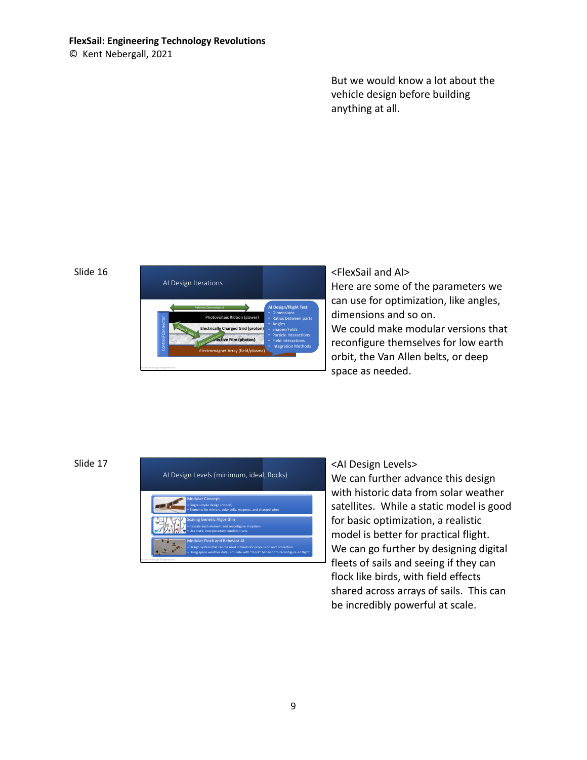© Kent Nebergall, 2021

But we would know a lot about the vehicle design before building anything at all.

## Slide 16



<FlexSail and AI> Here are some of the parameters we can use for optimization, like angles, dimensions and so on. We could make modular versions that reconfigure themselves for low earth orbit, the Van Allen belts, or deep space as needed.

# Slide 17



# <AI Design Levels>

We can further advance this design with historic data from solar weather satellites. While a static model is good for basic optimization, a realistic model is better for practical flight. We can go further by designing digital fleets of sails and seeing if they can flock like birds, with field effects shared across arrays of sails. This can be incredibly powerful at scale.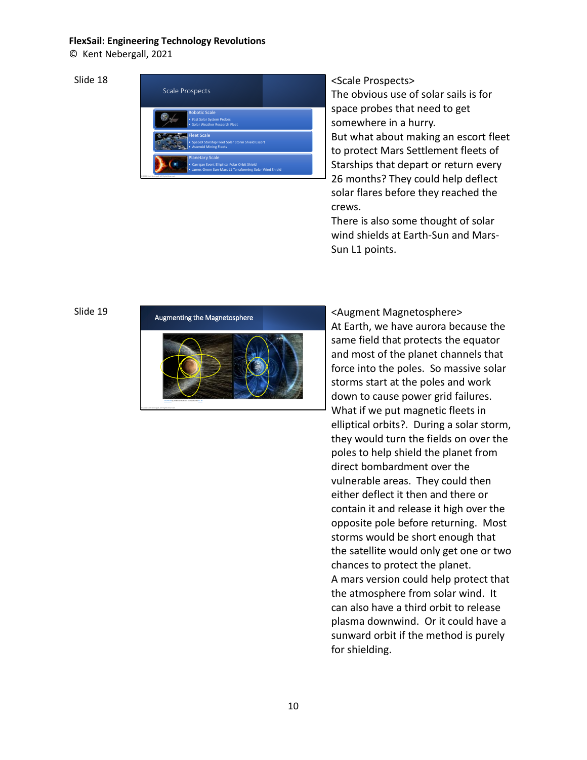© Kent Nebergall, 2021

Slide 18



# <Scale Prospects>

The obvious use of solar sails is for space probes that need to get somewhere in a hurry. But what about making an escort fleet to protect Mars Settlement fleets of Starships that depart or return every 26 months? They could help deflect solar flares before they reached the crews.

There is also some thought of solar wind shields at Earth-Sun and Mars-Sun L1 points.

## Slide 19

### Augmenting the Magnetosphere



<Augment Magnetosphere> At Earth, we have aurora because the same field that protects the equator and most of the planet channels that force into the poles. So massive solar storms start at the poles and work down to cause power grid failures. What if we put magnetic fleets in elliptical orbits?. During a solar storm, they would turn the fields on over the poles to help shield the planet from direct bombardment over the vulnerable areas. They could then either deflect it then and there or contain it and release it high over the opposite pole before returning. Most storms would be short enough that the satellite would only get one or two chances to protect the planet. A mars version could help protect that the atmosphere from solar wind. It can also have a third orbit to release plasma downwind. Or it could have a sunward orbit if the method is purely for shielding.